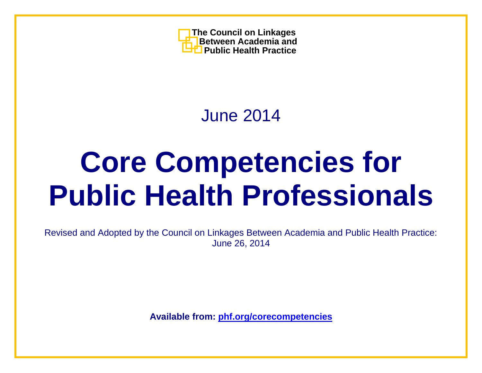

June 2014

# **Core Competencies for Public Health Professionals**

Revised and Adopted by the Council on Linkages Between Academia and Public Health Practice: June 26, 2014

**Available from: [phf.org/corecompetencies](http://www.phf.org/corecompetencies)**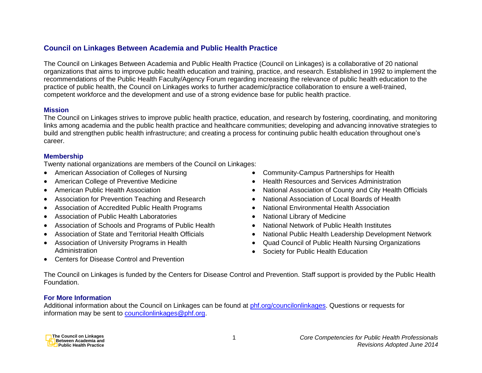## **Council on Linkages Between Academia and Public Health Practice**

The Council on Linkages Between Academia and Public Health Practice (Council on Linkages) is a collaborative of 20 national organizations that aims to improve public health education and training, practice, and research. Established in 1992 to implement the recommendations of the Public Health Faculty/Agency Forum regarding increasing the relevance of public health education to the practice of public health, the Council on Linkages works to further academic/practice collaboration to ensure a well-trained, competent workforce and the development and use of a strong evidence base for public health practice.

#### **Mission**

The Council on Linkages strives to improve public health practice, education, and research by fostering, coordinating, and monitoring links among academia and the public health practice and healthcare communities; developing and advancing innovative strategies to build and strengthen public health infrastructure; and creating a process for continuing public health education throughout one's career.

## **Membership**

Twenty national organizations are members of the Council on Linkages:

- American Association of Colleges of Nursing
- American College of Preventive Medicine
- American Public Health Association
- Association for Prevention Teaching and Research
- Association of Accredited Public Health Programs
- Association of Public Health Laboratories
- Association of Schools and Programs of Public Health
- Association of State and Territorial Health Officials
- Association of University Programs in Health Administration
- Community-Campus Partnerships for Health
- **Health Resources and Services Administration**
- National Association of County and City Health Officials
- National Association of Local Boards of Health
- National Environmental Health Association
- National Library of Medicine
- National Network of Public Health Institutes
- National Public Health Leadership Development Network
- Quad Council of Public Health Nursing Organizations
- Society for Public Health Education

• Centers for Disease Control and Prevention

The Council on Linkages is funded by the Centers for Disease Control and Prevention. Staff support is provided by the Public Health Foundation.

## **For More Information**

Additional information about the Council on Linkages can be found at [phf.org/councilonlinkages.](http://www.phf.org/councilonlinkages) Questions or requests for information may be sent to [councilonlinkages@phf.org.](mailto:councilonlinkages@phf.org)

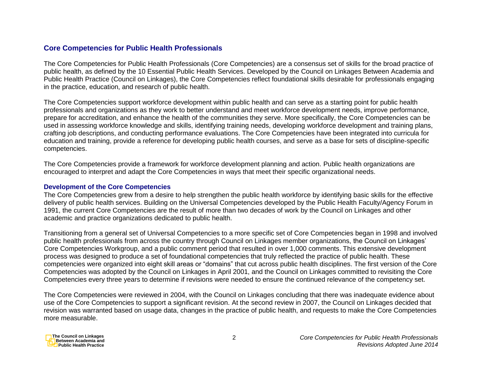## **Core Competencies for Public Health Professionals**

The Core Competencies for Public Health Professionals (Core Competencies) are a consensus set of skills for the broad practice of public health, as defined by the 10 Essential Public Health Services. Developed by the Council on Linkages Between Academia and Public Health Practice (Council on Linkages), the Core Competencies reflect foundational skills desirable for professionals engaging in the practice, education, and research of public health.

The Core Competencies support workforce development within public health and can serve as a starting point for public health professionals and organizations as they work to better understand and meet workforce development needs, improve performance, prepare for accreditation, and enhance the health of the communities they serve. More specifically, the Core Competencies can be used in assessing workforce knowledge and skills, identifying training needs, developing workforce development and training plans, crafting job descriptions, and conducting performance evaluations. The Core Competencies have been integrated into curricula for education and training, provide a reference for developing public health courses, and serve as a base for sets of discipline-specific competencies.

The Core Competencies provide a framework for workforce development planning and action. Public health organizations are encouraged to interpret and adapt the Core Competencies in ways that meet their specific organizational needs.

#### **Development of the Core Competencies**

The Core Competencies grew from a desire to help strengthen the public health workforce by identifying basic skills for the effective delivery of public health services. Building on the Universal Competencies developed by the Public Health Faculty/Agency Forum in 1991, the current Core Competencies are the result of more than two decades of work by the Council on Linkages and other academic and practice organizations dedicated to public health.

Transitioning from a general set of Universal Competencies to a more specific set of Core Competencies began in 1998 and involved public health professionals from across the country through Council on Linkages member organizations, the Council on Linkages' Core Competencies Workgroup, and a public comment period that resulted in over 1,000 comments. This extensive development process was designed to produce a set of foundational competencies that truly reflected the practice of public health. These competencies were organized into eight skill areas or "domains" that cut across public health disciplines. The first version of the Core Competencies was adopted by the Council on Linkages in April 2001, and the Council on Linkages committed to revisiting the Core Competencies every three years to determine if revisions were needed to ensure the continued relevance of the competency set.

The Core Competencies were reviewed in 2004, with the Council on Linkages concluding that there was inadequate evidence about use of the Core Competencies to support a significant revision. At the second review in 2007, the Council on Linkages decided that revision was warranted based on usage data, changes in the practice of public health, and requests to make the Core Competencies more measurable.

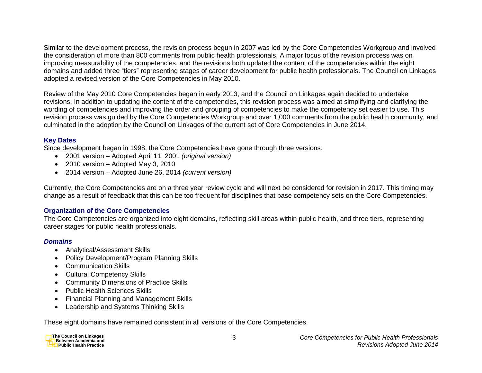Similar to the development process, the revision process begun in 2007 was led by the Core Competencies Workgroup and involved the consideration of more than 800 comments from public health professionals. A major focus of the revision process was on improving measurability of the competencies, and the revisions both updated the content of the competencies within the eight domains and added three "tiers" representing stages of career development for public health professionals. The Council on Linkages adopted a revised version of the Core Competencies in May 2010.

Review of the May 2010 Core Competencies began in early 2013, and the Council on Linkages again decided to undertake revisions. In addition to updating the content of the competencies, this revision process was aimed at simplifying and clarifying the wording of competencies and improving the order and grouping of competencies to make the competency set easier to use. This revision process was guided by the Core Competencies Workgroup and over 1,000 comments from the public health community, and culminated in the adoption by the Council on Linkages of the current set of Core Competencies in June 2014.

## **Key Dates**

Since development began in 1998, the Core Competencies have gone through three versions:

- 2001 version Adopted April 11, 2001 *(original version)*
- 2010 version Adopted May 3, 2010
- 2014 version Adopted June 26, 2014 *(current version)*

Currently, the Core Competencies are on a three year review cycle and will next be considered for revision in 2017. This timing may change as a result of feedback that this can be too frequent for disciplines that base competency sets on the Core Competencies.

## **Organization of the Core Competencies**

The Core Competencies are organized into eight domains, reflecting skill areas within public health, and three tiers, representing career stages for public health professionals.

## *Domains*

- Analytical/Assessment Skills
- Policy Development/Program Planning Skills
- Communication Skills
- Cultural Competency Skills
- Community Dimensions of Practice Skills
- Public Health Sciences Skills
- Financial Planning and Management Skills
- Leadership and Systems Thinking Skills

These eight domains have remained consistent in all versions of the Core Competencies.

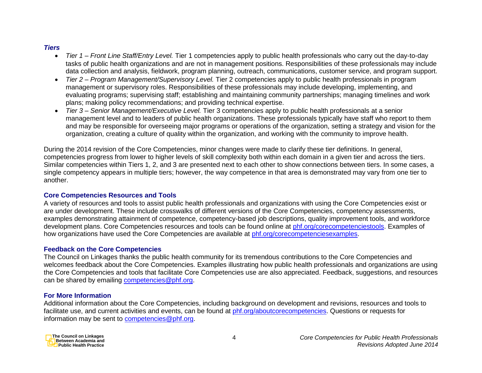## *Tiers*

- *Tier 1 – Front Line Staff/Entry Level.* Tier 1 competencies apply to public health professionals who carry out the day-to-day tasks of public health organizations and are not in management positions. Responsibilities of these professionals may include data collection and analysis, fieldwork, program planning, outreach, communications, customer service, and program support.
- *Tier 2 – Program Management/Supervisory Level.* Tier 2 competencies apply to public health professionals in program management or supervisory roles. Responsibilities of these professionals may include developing, implementing, and evaluating programs; supervising staff; establishing and maintaining community partnerships; managing timelines and work plans; making policy recommendations; and providing technical expertise.
- *Tier 3 – Senior Management/Executive Level.* Tier 3 competencies apply to public health professionals at a senior management level and to leaders of public health organizations. These professionals typically have staff who report to them and may be responsible for overseeing major programs or operations of the organization, setting a strategy and vision for the organization, creating a culture of quality within the organization, and working with the community to improve health.

During the 2014 revision of the Core Competencies, minor changes were made to clarify these tier definitions. In general, competencies progress from lower to higher levels of skill complexity both within each domain in a given tier and across the tiers. Similar competencies within Tiers 1, 2, and 3 are presented next to each other to show connections between tiers. In some cases, a single competency appears in multiple tiers; however, the way competence in that area is demonstrated may vary from one tier to another.

## **Core Competencies Resources and Tools**

A variety of resources and tools to assist public health professionals and organizations with using the Core Competencies exist or are under development. These include crosswalks of different versions of the Core Competencies, competency assessments, examples demonstrating attainment of competence, competency-based job descriptions, quality improvement tools, and workforce development plans. Core Competencies resources and tools can be found online at [phf.org/corecompetenciestools.](http://www.phf.org/corecompetenciestools) Examples of how organizations have used the Core Competencies are available at [phf.org/corecompetenciesexamples.](http://www.phf.org/corecompetenciesexamples)

## **Feedback on the Core Competencies**

The Council on Linkages thanks the public health community for its tremendous contributions to the Core Competencies and welcomes feedback about the Core Competencies. Examples illustrating how public health professionals and organizations are using the Core Competencies and tools that facilitate Core Competencies use are also appreciated. Feedback, suggestions, and resources can be shared by emailing [competencies@phf.org.](mailto:competencies@phf.org)

## **For More Information**

Additional information about the Core Competencies, including background on development and revisions, resources and tools to facilitate use, and current activities and events, can be found at [phf.org/aboutcorecompetencies.](http://www.phf.org/aboutcorecompetencies) Questions or requests for information may be sent to [competencies@phf.org.](mailto:competencies@phf.org)

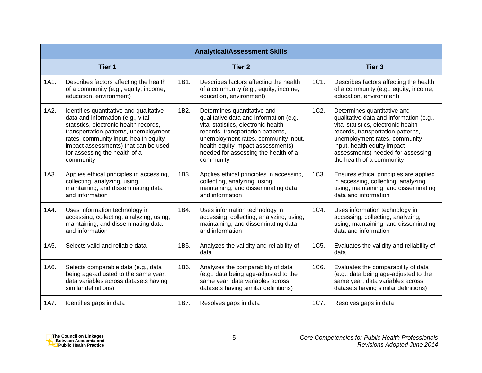|      | <b>Analytical/Assessment Skills</b>                                                                                                                                                                                                                                                            |      |                                                                                                                                                                                                                                                                                      |      |                                                                                                                                                                                                                                                                                      |  |  |  |
|------|------------------------------------------------------------------------------------------------------------------------------------------------------------------------------------------------------------------------------------------------------------------------------------------------|------|--------------------------------------------------------------------------------------------------------------------------------------------------------------------------------------------------------------------------------------------------------------------------------------|------|--------------------------------------------------------------------------------------------------------------------------------------------------------------------------------------------------------------------------------------------------------------------------------------|--|--|--|
|      | Tier 1                                                                                                                                                                                                                                                                                         |      | <b>Tier 2</b>                                                                                                                                                                                                                                                                        |      | <b>Tier 3</b>                                                                                                                                                                                                                                                                        |  |  |  |
| 1A1. | Describes factors affecting the health<br>of a community (e.g., equity, income,<br>education, environment)                                                                                                                                                                                     | 1B1. | Describes factors affecting the health<br>of a community (e.g., equity, income,<br>education, environment)                                                                                                                                                                           | 1C1. | Describes factors affecting the health<br>of a community (e.g., equity, income,<br>education, environment)                                                                                                                                                                           |  |  |  |
| 1A2. | Identifies quantitative and qualitative<br>data and information (e.g., vital<br>statistics, electronic health records,<br>transportation patterns, unemployment<br>rates, community input, health equity<br>impact assessments) that can be used<br>for assessing the health of a<br>community | 1B2. | Determines quantitative and<br>qualitative data and information (e.g.,<br>vital statistics, electronic health<br>records, transportation patterns,<br>unemployment rates, community input,<br>health equity impact assessments)<br>needed for assessing the health of a<br>community | 1C2. | Determines quantitative and<br>qualitative data and information (e.g.,<br>vital statistics, electronic health<br>records, transportation patterns,<br>unemployment rates, community<br>input, health equity impact<br>assessments) needed for assessing<br>the health of a community |  |  |  |
| 1A3. | Applies ethical principles in accessing,<br>collecting, analyzing, using,<br>maintaining, and disseminating data<br>and information                                                                                                                                                            | 1B3. | Applies ethical principles in accessing,<br>collecting, analyzing, using,<br>maintaining, and disseminating data<br>and information                                                                                                                                                  | 1C3. | Ensures ethical principles are applied<br>in accessing, collecting, analyzing,<br>using, maintaining, and disseminating<br>data and information                                                                                                                                      |  |  |  |
| 1A4. | Uses information technology in<br>accessing, collecting, analyzing, using,<br>maintaining, and disseminating data<br>and information                                                                                                                                                           | 1B4. | Uses information technology in<br>accessing, collecting, analyzing, using,<br>maintaining, and disseminating data<br>and information                                                                                                                                                 | 1C4. | Uses information technology in<br>accessing, collecting, analyzing,<br>using, maintaining, and disseminating<br>data and information                                                                                                                                                 |  |  |  |
| 1A5. | Selects valid and reliable data                                                                                                                                                                                                                                                                | 1B5. | Analyzes the validity and reliability of<br>data                                                                                                                                                                                                                                     | 1C5. | Evaluates the validity and reliability of<br>data                                                                                                                                                                                                                                    |  |  |  |
| 1A6. | Selects comparable data (e.g., data<br>being age-adjusted to the same year,<br>data variables across datasets having<br>similar definitions)                                                                                                                                                   | 1B6. | Analyzes the comparability of data<br>(e.g., data being age-adjusted to the<br>same year, data variables across<br>datasets having similar definitions)                                                                                                                              | 1C6. | Evaluates the comparability of data<br>(e.g., data being age-adjusted to the<br>same year, data variables across<br>datasets having similar definitions)                                                                                                                             |  |  |  |
| 1A7. | Identifies gaps in data                                                                                                                                                                                                                                                                        | 1B7. | Resolves gaps in data                                                                                                                                                                                                                                                                | 1C7. | Resolves gaps in data                                                                                                                                                                                                                                                                |  |  |  |

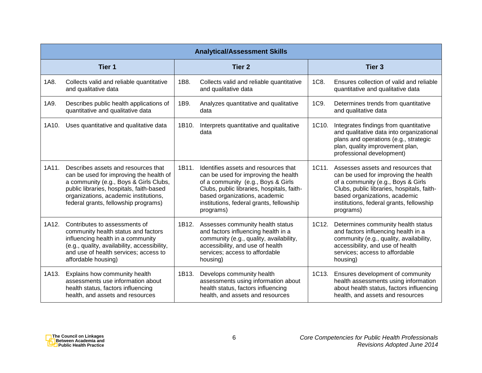|       | <b>Analytical/Assessment Skills</b>                                                                                                                                                                                                                   |       |                                                                                                                                                                                                                                                            |       |                                                                                                                                                                                                                                                          |  |  |  |
|-------|-------------------------------------------------------------------------------------------------------------------------------------------------------------------------------------------------------------------------------------------------------|-------|------------------------------------------------------------------------------------------------------------------------------------------------------------------------------------------------------------------------------------------------------------|-------|----------------------------------------------------------------------------------------------------------------------------------------------------------------------------------------------------------------------------------------------------------|--|--|--|
|       | Tier 1                                                                                                                                                                                                                                                |       | <b>Tier 2</b>                                                                                                                                                                                                                                              |       | <b>Tier 3</b>                                                                                                                                                                                                                                            |  |  |  |
| 1A8.  | Collects valid and reliable quantitative<br>and qualitative data                                                                                                                                                                                      | 1B8.  | Collects valid and reliable quantitative<br>and qualitative data                                                                                                                                                                                           | 1C8.  | Ensures collection of valid and reliable<br>quantitative and qualitative data                                                                                                                                                                            |  |  |  |
| 1A9.  | Describes public health applications of<br>quantitative and qualitative data                                                                                                                                                                          | 1B9.  | Analyzes quantitative and qualitative<br>data                                                                                                                                                                                                              | 1C9.  | Determines trends from quantitative<br>and qualitative data                                                                                                                                                                                              |  |  |  |
| 1A10. | Uses quantitative and qualitative data                                                                                                                                                                                                                | 1B10. | Interprets quantitative and qualitative<br>data                                                                                                                                                                                                            | 1C10. | Integrates findings from quantitative<br>and qualitative data into organizational<br>plans and operations (e.g., strategic<br>plan, quality improvement plan,<br>professional development)                                                               |  |  |  |
| 1A11. | Describes assets and resources that<br>can be used for improving the health of<br>a community (e.g., Boys & Girls Clubs,<br>public libraries, hospitals, faith-based<br>organizations, academic institutions,<br>federal grants, fellowship programs) | 1B11. | Identifies assets and resources that<br>can be used for improving the health<br>of a community (e.g., Boys & Girls<br>Clubs, public libraries, hospitals, faith-<br>based organizations, academic<br>institutions, federal grants, fellowship<br>programs) | 1C11. | Assesses assets and resources that<br>can be used for improving the health<br>of a community (e.g., Boys & Girls<br>Clubs, public libraries, hospitals, faith-<br>based organizations, academic<br>institutions, federal grants, fellowship<br>programs) |  |  |  |
| 1A12. | Contributes to assessments of<br>community health status and factors<br>influencing health in a community<br>(e.g., quality, availability, accessibility,<br>and use of health services; access to<br>affordable housing)                             | 1B12. | Assesses community health status<br>and factors influencing health in a<br>community (e.g., quality, availability,<br>accessibility, and use of health<br>services; access to affordable<br>housing)                                                       | 1C12. | Determines community health status<br>and factors influencing health in a<br>community (e.g., quality, availability,<br>accessibility, and use of health<br>services; access to affordable<br>housing)                                                   |  |  |  |
| 1A13. | Explains how community health<br>assessments use information about<br>health status, factors influencing<br>health, and assets and resources                                                                                                          | 1B13. | Develops community health<br>assessments using information about<br>health status, factors influencing<br>health, and assets and resources                                                                                                                 | 1C13. | Ensures development of community<br>health assessments using information<br>about health status, factors influencing<br>health, and assets and resources                                                                                                 |  |  |  |

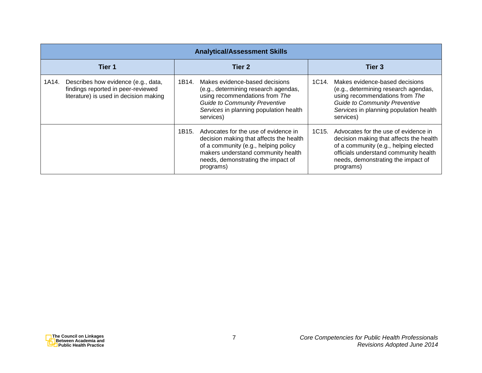| <b>Analytical/Assessment Skills</b>                                                                                          |                                                                                                                                                                                                                           |                                                                                                                                                                                                                                            |  |  |  |  |
|------------------------------------------------------------------------------------------------------------------------------|---------------------------------------------------------------------------------------------------------------------------------------------------------------------------------------------------------------------------|--------------------------------------------------------------------------------------------------------------------------------------------------------------------------------------------------------------------------------------------|--|--|--|--|
| Tier 1                                                                                                                       | Tier 2                                                                                                                                                                                                                    | Tier 3                                                                                                                                                                                                                                     |  |  |  |  |
| Describes how evidence (e.g., data,<br>1A14.<br>findings reported in peer-reviewed<br>literature) is used in decision making | Makes evidence-based decisions<br>1B14.<br>(e.g., determining research agendas,<br>using recommendations from The<br><b>Guide to Community Preventive</b><br>Services in planning population health<br>services)          | Makes evidence-based decisions<br>1C <sub>14</sub><br>(e.g., determining research agendas,<br>using recommendations from The<br><b>Guide to Community Preventive</b><br>Services in planning population health<br>services)                |  |  |  |  |
|                                                                                                                              | Advocates for the use of evidence in<br>1B15.<br>decision making that affects the health<br>of a community (e.g., helping policy<br>makers understand community health<br>needs, demonstrating the impact of<br>programs) | 1C <sub>15</sub> .<br>Advocates for the use of evidence in<br>decision making that affects the health<br>of a community (e.g., helping elected<br>officials understand community health<br>needs, demonstrating the impact of<br>programs) |  |  |  |  |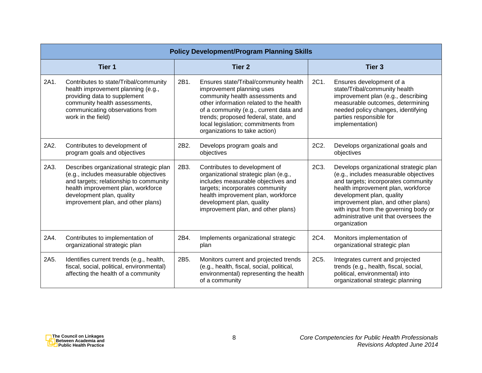|      | <b>Policy Development/Program Planning Skills</b>                                                                                                                                                                                   |               |                                                                                                                                                                                                                                                                                                             |               |                                                                                                                                                                                                                                                                                                                                   |  |  |
|------|-------------------------------------------------------------------------------------------------------------------------------------------------------------------------------------------------------------------------------------|---------------|-------------------------------------------------------------------------------------------------------------------------------------------------------------------------------------------------------------------------------------------------------------------------------------------------------------|---------------|-----------------------------------------------------------------------------------------------------------------------------------------------------------------------------------------------------------------------------------------------------------------------------------------------------------------------------------|--|--|
|      | Tier <sub>1</sub>                                                                                                                                                                                                                   | <b>Tier 2</b> |                                                                                                                                                                                                                                                                                                             | <b>Tier 3</b> |                                                                                                                                                                                                                                                                                                                                   |  |  |
| 2A1. | Contributes to state/Tribal/community<br>health improvement planning (e.g.,<br>providing data to supplement<br>community health assessments,<br>communicating observations from<br>work in the field)                               | 2B1.          | Ensures state/Tribal/community health<br>improvement planning uses<br>community health assessments and<br>other information related to the health<br>of a community (e.g., current data and<br>trends; proposed federal, state, and<br>local legislation; commitments from<br>organizations to take action) | 2C1.          | Ensures development of a<br>state/Tribal/community health<br>improvement plan (e.g., describing<br>measurable outcomes, determining<br>needed policy changes, identifying<br>parties responsible for<br>implementation)                                                                                                           |  |  |
| 2A2. | Contributes to development of<br>program goals and objectives                                                                                                                                                                       | 2B2.          | Develops program goals and<br>objectives                                                                                                                                                                                                                                                                    | 2C2.          | Develops organizational goals and<br>objectives                                                                                                                                                                                                                                                                                   |  |  |
| 2A3. | Describes organizational strategic plan<br>(e.g., includes measurable objectives<br>and targets; relationship to community<br>health improvement plan, workforce<br>development plan, quality<br>improvement plan, and other plans) | 2B3.          | Contributes to development of<br>organizational strategic plan (e.g.,<br>includes measurable objectives and<br>targets; incorporates community<br>health improvement plan, workforce<br>development plan, quality<br>improvement plan, and other plans)                                                     | 2C3.          | Develops organizational strategic plan<br>(e.g., includes measurable objectives<br>and targets; incorporates community<br>health improvement plan, workforce<br>development plan, quality<br>improvement plan, and other plans)<br>with input from the governing body or<br>administrative unit that oversees the<br>organization |  |  |
| 2A4. | Contributes to implementation of<br>organizational strategic plan                                                                                                                                                                   | 2B4.          | Implements organizational strategic<br>plan                                                                                                                                                                                                                                                                 | 2C4.          | Monitors implementation of<br>organizational strategic plan                                                                                                                                                                                                                                                                       |  |  |
| 2A5. | Identifies current trends (e.g., health,<br>fiscal, social, political, environmental)<br>affecting the health of a community                                                                                                        | 2B5.          | Monitors current and projected trends<br>(e.g., health, fiscal, social, political,<br>environmental) representing the health<br>of a community                                                                                                                                                              | 2C5.          | Integrates current and projected<br>trends (e.g., health, fiscal, social,<br>political, environmental) into<br>organizational strategic planning                                                                                                                                                                                  |  |  |

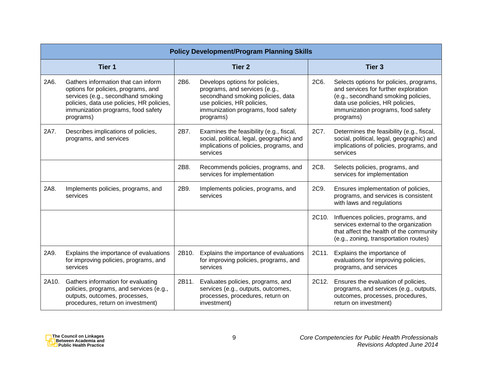|       | <b>Policy Development/Program Planning Skills</b>                                                                                                                                                                |       |                                                                                                                                                                                       |                   |                                                                                                                                                                                                              |  |  |
|-------|------------------------------------------------------------------------------------------------------------------------------------------------------------------------------------------------------------------|-------|---------------------------------------------------------------------------------------------------------------------------------------------------------------------------------------|-------------------|--------------------------------------------------------------------------------------------------------------------------------------------------------------------------------------------------------------|--|--|
|       | Tier 1                                                                                                                                                                                                           |       | <b>Tier 2</b>                                                                                                                                                                         | Tier <sub>3</sub> |                                                                                                                                                                                                              |  |  |
| 2A6.  | Gathers information that can inform<br>options for policies, programs, and<br>services (e.g., secondhand smoking<br>policies, data use policies, HR policies,<br>immunization programs, food safety<br>programs) | 2B6.  | Develops options for policies,<br>programs, and services (e.g.,<br>secondhand smoking policies, data<br>use policies, HR policies,<br>immunization programs, food safety<br>programs) | 2C6.              | Selects options for policies, programs,<br>and services for further exploration<br>(e.g., secondhand smoking policies,<br>data use policies, HR policies,<br>immunization programs, food safety<br>programs) |  |  |
| 2A7.  | Describes implications of policies,<br>programs, and services                                                                                                                                                    | 2B7.  | Examines the feasibility (e.g., fiscal,<br>social, political, legal, geographic) and<br>implications of policies, programs, and<br>services                                           | 2C7.              | Determines the feasibility (e.g., fiscal,<br>social, political, legal, geographic) and<br>implications of policies, programs, and<br>services                                                                |  |  |
|       |                                                                                                                                                                                                                  | 2B8.  | Recommends policies, programs, and<br>services for implementation                                                                                                                     | 2C8.              | Selects policies, programs, and<br>services for implementation                                                                                                                                               |  |  |
| 2A8.  | Implements policies, programs, and<br>services                                                                                                                                                                   | 2B9.  | Implements policies, programs, and<br>services                                                                                                                                        | 2C9.              | Ensures implementation of policies,<br>programs, and services is consistent<br>with laws and regulations                                                                                                     |  |  |
|       |                                                                                                                                                                                                                  |       |                                                                                                                                                                                       | 2C10.             | Influences policies, programs, and<br>services external to the organization<br>that affect the health of the community<br>(e.g., zoning, transportation routes)                                              |  |  |
| 2A9.  | Explains the importance of evaluations<br>for improving policies, programs, and<br>services                                                                                                                      | 2B10. | Explains the importance of evaluations<br>for improving policies, programs, and<br>services                                                                                           | 2C11.             | Explains the importance of<br>evaluations for improving policies,<br>programs, and services                                                                                                                  |  |  |
| 2A10. | Gathers information for evaluating<br>policies, programs, and services (e.g.,<br>outputs, outcomes, processes,<br>procedures, return on investment)                                                              | 2B11. | Evaluates policies, programs, and<br>services (e.g., outputs, outcomes,<br>processes, procedures, return on<br>investment)                                                            | 2C12.             | Ensures the evaluation of policies,<br>programs, and services (e.g., outputs,<br>outcomes, processes, procedures,<br>return on investment)                                                                   |  |  |

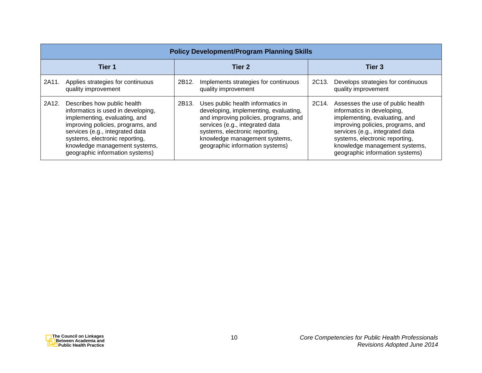|        | <b>Policy Development/Program Planning Skills</b>                                                                                                                                                                                                                                |       |                                                                                                                                                                                                                                                              |       |                                                                                                                                                                                                                                                                                |  |  |  |
|--------|----------------------------------------------------------------------------------------------------------------------------------------------------------------------------------------------------------------------------------------------------------------------------------|-------|--------------------------------------------------------------------------------------------------------------------------------------------------------------------------------------------------------------------------------------------------------------|-------|--------------------------------------------------------------------------------------------------------------------------------------------------------------------------------------------------------------------------------------------------------------------------------|--|--|--|
| Tier 1 |                                                                                                                                                                                                                                                                                  |       | Tier 2                                                                                                                                                                                                                                                       |       | Tier 3                                                                                                                                                                                                                                                                         |  |  |  |
| 2A11.  | Applies strategies for continuous<br>quality improvement                                                                                                                                                                                                                         | 2B12. | Implements strategies for continuous<br>quality improvement                                                                                                                                                                                                  | 2C13. | Develops strategies for continuous<br>quality improvement                                                                                                                                                                                                                      |  |  |  |
| 2A12.  | Describes how public health<br>informatics is used in developing,<br>implementing, evaluating, and<br>improving policies, programs, and<br>services (e.g., integrated data<br>systems, electronic reporting,<br>knowledge management systems,<br>geographic information systems) | 2B13. | Uses public health informatics in<br>developing, implementing, evaluating,<br>and improving policies, programs, and<br>services (e.g., integrated data<br>systems, electronic reporting,<br>knowledge management systems,<br>geographic information systems) | 2C14. | Assesses the use of public health<br>informatics in developing,<br>implementing, evaluating, and<br>improving policies, programs, and<br>services (e.g., integrated data<br>systems, electronic reporting,<br>knowledge management systems,<br>geographic information systems) |  |  |  |

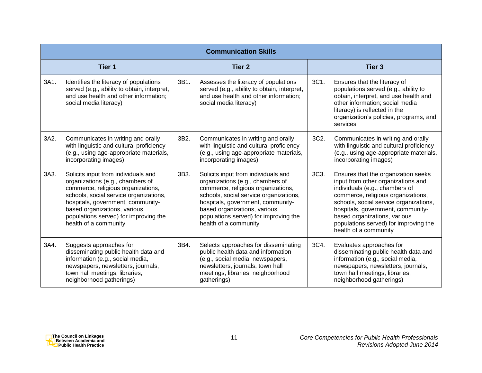|      | <b>Communication Skills</b>                                                                                                                                                                                                                                                                    |      |                                                                                                                                                                                                                                                                                                |               |                                                                                                                                                                                                                                                                                                                                    |  |  |
|------|------------------------------------------------------------------------------------------------------------------------------------------------------------------------------------------------------------------------------------------------------------------------------------------------|------|------------------------------------------------------------------------------------------------------------------------------------------------------------------------------------------------------------------------------------------------------------------------------------------------|---------------|------------------------------------------------------------------------------------------------------------------------------------------------------------------------------------------------------------------------------------------------------------------------------------------------------------------------------------|--|--|
|      | Tier 1                                                                                                                                                                                                                                                                                         |      | <b>Tier 2</b>                                                                                                                                                                                                                                                                                  | <b>Tier 3</b> |                                                                                                                                                                                                                                                                                                                                    |  |  |
| 3A1. | Identifies the literacy of populations<br>served (e.g., ability to obtain, interpret,<br>and use health and other information;<br>social media literacy)                                                                                                                                       | 3B1. | Assesses the literacy of populations<br>served (e.g., ability to obtain, interpret,<br>and use health and other information;<br>social media literacy)                                                                                                                                         | 3C1.          | Ensures that the literacy of<br>populations served (e.g., ability to<br>obtain, interpret, and use health and<br>other information; social media<br>literacy) is reflected in the<br>organization's policies, programs, and<br>services                                                                                            |  |  |
| 3A2. | Communicates in writing and orally<br>with linguistic and cultural proficiency<br>(e.g., using age-appropriate materials,<br>incorporating images)                                                                                                                                             | 3B2. | Communicates in writing and orally<br>with linguistic and cultural proficiency<br>(e.g., using age-appropriate materials,<br>incorporating images)                                                                                                                                             | 3C2.          | Communicates in writing and orally<br>with linguistic and cultural proficiency<br>(e.g., using age-appropriate materials,<br>incorporating images)                                                                                                                                                                                 |  |  |
| 3A3. | Solicits input from individuals and<br>organizations (e.g., chambers of<br>commerce, religious organizations,<br>schools, social service organizations,<br>hospitals, government, community-<br>based organizations, various<br>populations served) for improving the<br>health of a community | 3B3. | Solicits input from individuals and<br>organizations (e.g., chambers of<br>commerce, religious organizations,<br>schools, social service organizations,<br>hospitals, government, community-<br>based organizations, various<br>populations served) for improving the<br>health of a community | 3C3.          | Ensures that the organization seeks<br>input from other organizations and<br>individuals (e.g., chambers of<br>commerce, religious organizations,<br>schools, social service organizations,<br>hospitals, government, community-<br>based organizations, various<br>populations served) for improving the<br>health of a community |  |  |
| 3A4. | Suggests approaches for<br>disseminating public health data and<br>information (e.g., social media,<br>newspapers, newsletters, journals,<br>town hall meetings, libraries,<br>neighborhood gatherings)                                                                                        | 3B4. | Selects approaches for disseminating<br>public health data and information<br>(e.g., social media, newspapers,<br>newsletters, journals, town hall<br>meetings, libraries, neighborhood<br>gatherings)                                                                                         | 3C4.          | Evaluates approaches for<br>disseminating public health data and<br>information (e.g., social media,<br>newspapers, newsletters, journals,<br>town hall meetings, libraries,<br>neighborhood gatherings)                                                                                                                           |  |  |

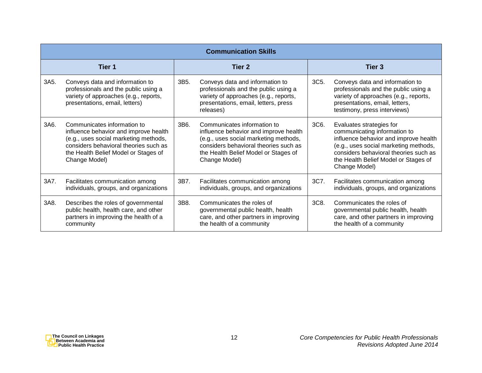|      | <b>Communication Skills</b>                                                                                                                                                                                     |      |                                                                                                                                                                                                                 |                   |                                                                                                                                                                                                                                              |  |  |
|------|-----------------------------------------------------------------------------------------------------------------------------------------------------------------------------------------------------------------|------|-----------------------------------------------------------------------------------------------------------------------------------------------------------------------------------------------------------------|-------------------|----------------------------------------------------------------------------------------------------------------------------------------------------------------------------------------------------------------------------------------------|--|--|
|      | Tier 1                                                                                                                                                                                                          |      | Tier 2                                                                                                                                                                                                          | Tier <sub>3</sub> |                                                                                                                                                                                                                                              |  |  |
| 3A5. | Conveys data and information to<br>professionals and the public using a<br>variety of approaches (e.g., reports,<br>presentations, email, letters)                                                              | 3B5. | Conveys data and information to<br>professionals and the public using a<br>variety of approaches (e.g., reports,<br>presentations, email, letters, press<br>releases)                                           | 3C5.              | Conveys data and information to<br>professionals and the public using a<br>variety of approaches (e.g., reports,<br>presentations, email, letters,<br>testimony, press interviews)                                                           |  |  |
| 3A6. | Communicates information to<br>influence behavior and improve health<br>(e.g., uses social marketing methods,<br>considers behavioral theories such as<br>the Health Belief Model or Stages of<br>Change Model) | 3B6. | Communicates information to<br>influence behavior and improve health<br>(e.g., uses social marketing methods,<br>considers behavioral theories such as<br>the Health Belief Model or Stages of<br>Change Model) | 3C6.              | Evaluates strategies for<br>communicating information to<br>influence behavior and improve health<br>(e.g., uses social marketing methods,<br>considers behavioral theories such as<br>the Health Belief Model or Stages of<br>Change Model) |  |  |
| 3A7. | Facilitates communication among<br>individuals, groups, and organizations                                                                                                                                       | 3B7. | Facilitates communication among<br>individuals, groups, and organizations                                                                                                                                       | 3C7.              | Facilitates communication among<br>individuals, groups, and organizations                                                                                                                                                                    |  |  |
| 3A8. | Describes the roles of governmental<br>public health, health care, and other<br>partners in improving the health of a<br>community                                                                              | 3B8. | Communicates the roles of<br>governmental public health, health<br>care, and other partners in improving<br>the health of a community                                                                           | 3C8.              | Communicates the roles of<br>governmental public health, health<br>care, and other partners in improving<br>the health of a community                                                                                                        |  |  |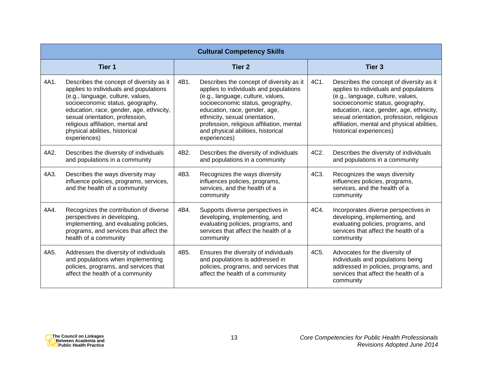|      | <b>Cultural Competency Skills</b>                                                                                                                                                                                                                                                                                                 |               |                                                                                                                                                                                                                                                                                                                                   |                   |                                                                                                                                                                                                                                                                                                                                |  |  |  |
|------|-----------------------------------------------------------------------------------------------------------------------------------------------------------------------------------------------------------------------------------------------------------------------------------------------------------------------------------|---------------|-----------------------------------------------------------------------------------------------------------------------------------------------------------------------------------------------------------------------------------------------------------------------------------------------------------------------------------|-------------------|--------------------------------------------------------------------------------------------------------------------------------------------------------------------------------------------------------------------------------------------------------------------------------------------------------------------------------|--|--|--|
|      | Tier <sub>1</sub>                                                                                                                                                                                                                                                                                                                 | <b>Tier 2</b> |                                                                                                                                                                                                                                                                                                                                   | Tier <sub>3</sub> |                                                                                                                                                                                                                                                                                                                                |  |  |  |
| 4A1. | Describes the concept of diversity as it<br>applies to individuals and populations<br>(e.g., language, culture, values,<br>socioeconomic status, geography,<br>education, race, gender, age, ethnicity,<br>sexual orientation, profession,<br>religious affiliation, mental and<br>physical abilities, historical<br>experiences) | 4B1.          | Describes the concept of diversity as it<br>applies to individuals and populations<br>(e.g., language, culture, values,<br>socioeconomic status, geography,<br>education, race, gender, age,<br>ethnicity, sexual orientation,<br>profession, religious affiliation, mental<br>and physical abilities, historical<br>experiences) | 4C1.              | Describes the concept of diversity as it<br>applies to individuals and populations<br>(e.g., language, culture, values,<br>socioeconomic status, geography,<br>education, race, gender, age, ethnicity,<br>sexual orientation, profession, religious<br>affiliation, mental and physical abilities,<br>historical experiences) |  |  |  |
| 4A2. | Describes the diversity of individuals<br>and populations in a community                                                                                                                                                                                                                                                          | 4B2.          | Describes the diversity of individuals<br>and populations in a community                                                                                                                                                                                                                                                          | 4C2.              | Describes the diversity of individuals<br>and populations in a community                                                                                                                                                                                                                                                       |  |  |  |
| 4A3. | Describes the ways diversity may<br>influence policies, programs, services,<br>and the health of a community                                                                                                                                                                                                                      | 4B3.          | Recognizes the ways diversity<br>influences policies, programs,<br>services, and the health of a<br>community                                                                                                                                                                                                                     | 4C3.              | Recognizes the ways diversity<br>influences policies, programs,<br>services, and the health of a<br>community                                                                                                                                                                                                                  |  |  |  |
| 4A4. | Recognizes the contribution of diverse<br>perspectives in developing,<br>implementing, and evaluating policies,<br>programs, and services that affect the<br>health of a community                                                                                                                                                | 4B4.          | Supports diverse perspectives in<br>developing, implementing, and<br>evaluating policies, programs, and<br>services that affect the health of a<br>community                                                                                                                                                                      | 4C4.              | Incorporates diverse perspectives in<br>developing, implementing, and<br>evaluating policies, programs, and<br>services that affect the health of a<br>community                                                                                                                                                               |  |  |  |
| 4A5. | Addresses the diversity of individuals<br>and populations when implementing<br>policies, programs, and services that<br>affect the health of a community                                                                                                                                                                          | 4B5.          | Ensures the diversity of individuals<br>and populations is addressed in<br>policies, programs, and services that<br>affect the health of a community                                                                                                                                                                              | 4C5.              | Advocates for the diversity of<br>individuals and populations being<br>addressed in policies, programs, and<br>services that affect the health of a<br>community                                                                                                                                                               |  |  |  |

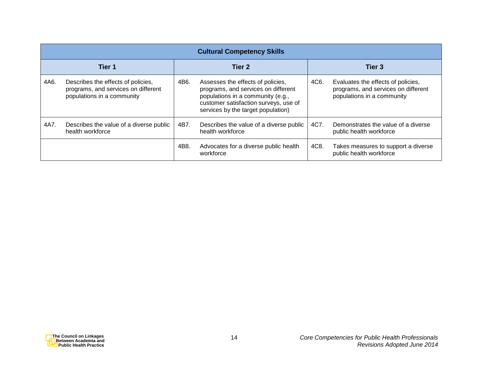|        | <b>Cultural Competency Skills</b>                                                                       |        |                                                                                                                                                                                              |        |                                                                                                         |  |  |  |
|--------|---------------------------------------------------------------------------------------------------------|--------|----------------------------------------------------------------------------------------------------------------------------------------------------------------------------------------------|--------|---------------------------------------------------------------------------------------------------------|--|--|--|
| Tier 1 |                                                                                                         | Tier 2 |                                                                                                                                                                                              | Tier 3 |                                                                                                         |  |  |  |
| 4A6.   | Describes the effects of policies,<br>programs, and services on different<br>populations in a community | 4B6.   | Assesses the effects of policies,<br>programs, and services on different<br>populations in a community (e.g.,<br>customer satisfaction surveys, use of<br>services by the target population) | 4C6.   | Evaluates the effects of policies,<br>programs, and services on different<br>populations in a community |  |  |  |
| 4A7.   | Describes the value of a diverse public<br>health workforce                                             | 4B7.   | Describes the value of a diverse public<br>health workforce                                                                                                                                  | 4C7.   | Demonstrates the value of a diverse<br>public health workforce                                          |  |  |  |
|        |                                                                                                         | 4B8.   | Advocates for a diverse public health<br>workforce                                                                                                                                           | 4C8.   | Takes measures to support a diverse<br>public health workforce                                          |  |  |  |

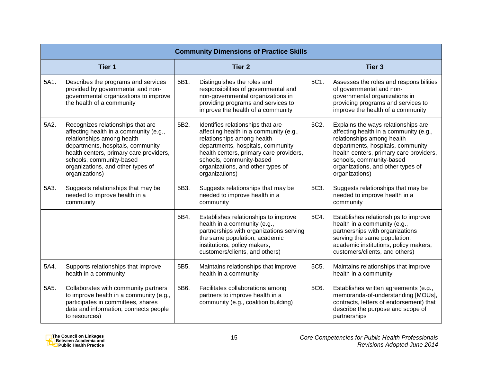|      | <b>Community Dimensions of Practice Skills</b>                                                                                                                                                                                                                               |      |                                                                                                                                                                                                                                                                              |      |                                                                                                                                                                                                                                                                                |  |  |
|------|------------------------------------------------------------------------------------------------------------------------------------------------------------------------------------------------------------------------------------------------------------------------------|------|------------------------------------------------------------------------------------------------------------------------------------------------------------------------------------------------------------------------------------------------------------------------------|------|--------------------------------------------------------------------------------------------------------------------------------------------------------------------------------------------------------------------------------------------------------------------------------|--|--|
|      | Tier <sub>1</sub>                                                                                                                                                                                                                                                            |      | <b>Tier 2</b>                                                                                                                                                                                                                                                                |      | Tier <sub>3</sub>                                                                                                                                                                                                                                                              |  |  |
| 5A1. | Describes the programs and services<br>provided by governmental and non-<br>governmental organizations to improve<br>the health of a community                                                                                                                               | 5B1. | Distinguishes the roles and<br>responsibilities of governmental and<br>non-governmental organizations in<br>providing programs and services to<br>improve the health of a community                                                                                          | 5C1. | Assesses the roles and responsibilities<br>of governmental and non-<br>governmental organizations in<br>providing programs and services to<br>improve the health of a community                                                                                                |  |  |
| 5A2. | Recognizes relationships that are<br>affecting health in a community (e.g.,<br>relationships among health<br>departments, hospitals, community<br>health centers, primary care providers,<br>schools, community-based<br>organizations, and other types of<br>organizations) | 5B2. | Identifies relationships that are<br>affecting health in a community (e.g.,<br>relationships among health<br>departments, hospitals, community<br>health centers, primary care providers,<br>schools, community-based<br>organizations, and other types of<br>organizations) | 5C2. | Explains the ways relationships are<br>affecting health in a community (e.g.,<br>relationships among health<br>departments, hospitals, community<br>health centers, primary care providers,<br>schools, community-based<br>organizations, and other types of<br>organizations) |  |  |
| 5A3. | Suggests relationships that may be<br>needed to improve health in a<br>community                                                                                                                                                                                             | 5B3. | Suggests relationships that may be<br>needed to improve health in a<br>community                                                                                                                                                                                             | 5C3. | Suggests relationships that may be<br>needed to improve health in a<br>community                                                                                                                                                                                               |  |  |
|      |                                                                                                                                                                                                                                                                              | 5B4. | Establishes relationships to improve<br>health in a community (e.g.,<br>partnerships with organizations serving<br>the same population, academic<br>institutions, policy makers,<br>customers/clients, and others)                                                           | 5C4. | Establishes relationships to improve<br>health in a community (e.g.,<br>partnerships with organizations<br>serving the same population,<br>academic institutions, policy makers,<br>customers/clients, and others)                                                             |  |  |
| 5A4. | Supports relationships that improve<br>health in a community                                                                                                                                                                                                                 | 5B5. | Maintains relationships that improve<br>health in a community                                                                                                                                                                                                                | 5C5. | Maintains relationships that improve<br>health in a community                                                                                                                                                                                                                  |  |  |
| 5A5. | Collaborates with community partners<br>to improve health in a community (e.g.,<br>participates in committees, shares<br>data and information, connects people<br>to resources)                                                                                              | 5B6. | Facilitates collaborations among<br>partners to improve health in a<br>community (e.g., coalition building)                                                                                                                                                                  | 5C6. | Establishes written agreements (e.g.,<br>memoranda-of-understanding [MOUs],<br>contracts, letters of endorsement) that<br>describe the purpose and scope of<br>partnerships                                                                                                    |  |  |

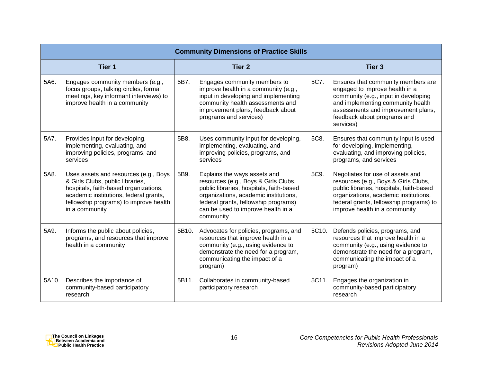|       | <b>Community Dimensions of Practice Skills</b>                                                                                                                                                                           |       |                                                                                                                                                                                                                                                      |               |                                                                                                                                                                                                                                           |  |  |  |
|-------|--------------------------------------------------------------------------------------------------------------------------------------------------------------------------------------------------------------------------|-------|------------------------------------------------------------------------------------------------------------------------------------------------------------------------------------------------------------------------------------------------------|---------------|-------------------------------------------------------------------------------------------------------------------------------------------------------------------------------------------------------------------------------------------|--|--|--|
|       | Tier <sub>1</sub>                                                                                                                                                                                                        |       | <b>Tier 2</b>                                                                                                                                                                                                                                        | <b>Tier 3</b> |                                                                                                                                                                                                                                           |  |  |  |
| 5A6.  | Engages community members (e.g.,<br>focus groups, talking circles, formal<br>meetings, key informant interviews) to<br>improve health in a community                                                                     | 5B7.  | Engages community members to<br>improve health in a community (e.g.,<br>input in developing and implementing<br>community health assessments and<br>improvement plans, feedback about<br>programs and services)                                      | 5C7.          | Ensures that community members are<br>engaged to improve health in a<br>community (e.g., input in developing<br>and implementing community health<br>assessments and improvement plans,<br>feedback about programs and<br>services)       |  |  |  |
| 5A7.  | Provides input for developing,<br>implementing, evaluating, and<br>improving policies, programs, and<br>services                                                                                                         | 5B8.  | Uses community input for developing,<br>implementing, evaluating, and<br>improving policies, programs, and<br>services                                                                                                                               | 5C8.          | Ensures that community input is used<br>for developing, implementing,<br>evaluating, and improving policies,<br>programs, and services                                                                                                    |  |  |  |
| 5A8.  | Uses assets and resources (e.g., Boys<br>& Girls Clubs, public libraries,<br>hospitals, faith-based organizations,<br>academic institutions, federal grants,<br>fellowship programs) to improve health<br>in a community | 5B9.  | Explains the ways assets and<br>resources (e.g., Boys & Girls Clubs,<br>public libraries, hospitals, faith-based<br>organizations, academic institutions,<br>federal grants, fellowship programs)<br>can be used to improve health in a<br>community | 5C9.          | Negotiates for use of assets and<br>resources (e.g., Boys & Girls Clubs,<br>public libraries, hospitals, faith-based<br>organizations, academic institutions,<br>federal grants, fellowship programs) to<br>improve health in a community |  |  |  |
| 5A9.  | Informs the public about policies,<br>programs, and resources that improve<br>health in a community                                                                                                                      | 5B10. | Advocates for policies, programs, and<br>resources that improve health in a<br>community (e.g., using evidence to<br>demonstrate the need for a program,<br>communicating the impact of a<br>program)                                                | 5C10.         | Defends policies, programs, and<br>resources that improve health in a<br>community (e.g., using evidence to<br>demonstrate the need for a program,<br>communicating the impact of a<br>program)                                           |  |  |  |
| 5A10. | Describes the importance of<br>community-based participatory<br>research                                                                                                                                                 | 5B11. | Collaborates in community-based<br>participatory research                                                                                                                                                                                            | 5C11.         | Engages the organization in<br>community-based participatory<br>research                                                                                                                                                                  |  |  |  |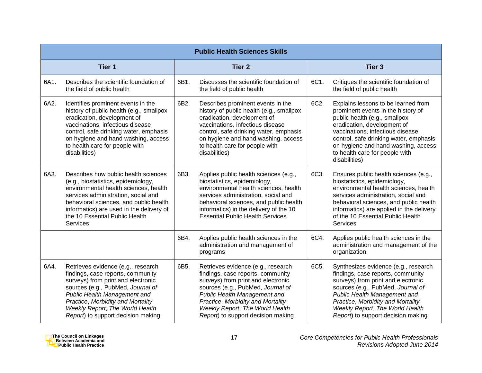|        | <b>Public Health Sciences Skills</b>                                                                                                                                                                                                                                                                   |               |                                                                                                                                                                                                                                                                                                  |                   |                                                                                                                                                                                                                                                                                                                   |  |  |
|--------|--------------------------------------------------------------------------------------------------------------------------------------------------------------------------------------------------------------------------------------------------------------------------------------------------------|---------------|--------------------------------------------------------------------------------------------------------------------------------------------------------------------------------------------------------------------------------------------------------------------------------------------------|-------------------|-------------------------------------------------------------------------------------------------------------------------------------------------------------------------------------------------------------------------------------------------------------------------------------------------------------------|--|--|
| Tier 1 |                                                                                                                                                                                                                                                                                                        | <b>Tier 2</b> |                                                                                                                                                                                                                                                                                                  | Tier <sub>3</sub> |                                                                                                                                                                                                                                                                                                                   |  |  |
| 6A1.   | Describes the scientific foundation of<br>the field of public health                                                                                                                                                                                                                                   | 6B1.          | Discusses the scientific foundation of<br>the field of public health                                                                                                                                                                                                                             | 6C1.              | Critiques the scientific foundation of<br>the field of public health                                                                                                                                                                                                                                              |  |  |
| 6A2.   | Identifies prominent events in the<br>history of public health (e.g., smallpox<br>eradication, development of<br>vaccinations, infectious disease<br>control, safe drinking water, emphasis<br>on hygiene and hand washing, access<br>to health care for people with<br>disabilities)                  | 6B2.          | Describes prominent events in the<br>history of public health (e.g., smallpox<br>eradication, development of<br>vaccinations, infectious disease<br>control, safe drinking water, emphasis<br>on hygiene and hand washing, access<br>to health care for people with<br>disabilities)             | 6C2.              | Explains lessons to be learned from<br>prominent events in the history of<br>public health (e.g., smallpox<br>eradication, development of<br>vaccinations, infectious disease<br>control, safe drinking water, emphasis<br>on hygiene and hand washing, access<br>to health care for people with<br>disabilities) |  |  |
| 6A3.   | Describes how public health sciences<br>(e.g., biostatistics, epidemiology,<br>environmental health sciences, health<br>services administration, social and<br>behavioral sciences, and public health<br>informatics) are used in the delivery of<br>the 10 Essential Public Health<br><b>Services</b> | 6B3.          | Applies public health sciences (e.g.,<br>biostatistics, epidemiology,<br>environmental health sciences, health<br>services administration, social and<br>behavioral sciences, and public health<br>informatics) in the delivery of the 10<br><b>Essential Public Health Services</b>             | 6C3.              | Ensures public health sciences (e.g.,<br>biostatistics, epidemiology,<br>environmental health sciences, health<br>services administration, social and<br>behavioral sciences, and public health<br>informatics) are applied in the delivery<br>of the 10 Essential Public Health<br>Services                      |  |  |
|        |                                                                                                                                                                                                                                                                                                        | 6B4.          | Applies public health sciences in the<br>administration and management of<br>programs                                                                                                                                                                                                            | 6C4.              | Applies public health sciences in the<br>administration and management of the<br>organization                                                                                                                                                                                                                     |  |  |
| 6A4.   | Retrieves evidence (e.g., research<br>findings, case reports, community<br>surveys) from print and electronic<br>sources (e.g., PubMed, Journal of<br>Public Health Management and<br>Practice, Morbidity and Mortality<br>Weekly Report, The World Health<br>Report) to support decision making       | 6B5.          | Retrieves evidence (e.g., research<br>findings, case reports, community<br>surveys) from print and electronic<br>sources (e.g., PubMed, Journal of<br>Public Health Management and<br>Practice, Morbidity and Mortality<br>Weekly Report, The World Health<br>Report) to support decision making | 6C5.              | Synthesizes evidence (e.g., research<br>findings, case reports, community<br>surveys) from print and electronic<br>sources (e.g., PubMed, Journal of<br>Public Health Management and<br>Practice, Morbidity and Mortality<br>Weekly Report, The World Health<br>Report) to support decision making                |  |  |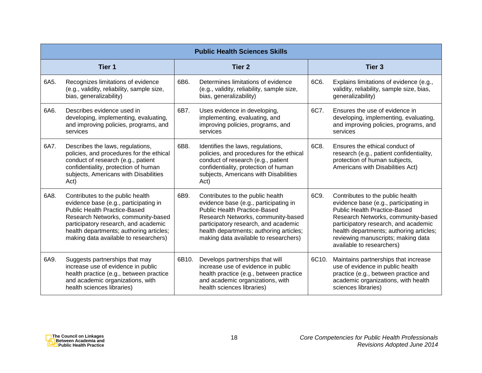|        | <b>Public Health Sciences Skills</b>                                                                                                                                                                                                                                               |       |                                                                                                                                                                                                                                                                                    |       |                                                                                                                                                                                                                                                                                                              |  |  |  |
|--------|------------------------------------------------------------------------------------------------------------------------------------------------------------------------------------------------------------------------------------------------------------------------------------|-------|------------------------------------------------------------------------------------------------------------------------------------------------------------------------------------------------------------------------------------------------------------------------------------|-------|--------------------------------------------------------------------------------------------------------------------------------------------------------------------------------------------------------------------------------------------------------------------------------------------------------------|--|--|--|
| Tier 1 |                                                                                                                                                                                                                                                                                    |       | Tier <sub>2</sub>                                                                                                                                                                                                                                                                  |       | Tier <sub>3</sub>                                                                                                                                                                                                                                                                                            |  |  |  |
| 6A5.   | Recognizes limitations of evidence<br>(e.g., validity, reliability, sample size,<br>bias, generalizability)                                                                                                                                                                        | 6B6.  | Determines limitations of evidence<br>(e.g., validity, reliability, sample size,<br>bias, generalizability)                                                                                                                                                                        | 6C6.  | Explains limitations of evidence (e.g.,<br>validity, reliability, sample size, bias,<br>generalizability)                                                                                                                                                                                                    |  |  |  |
| 6A6.   | Describes evidence used in<br>developing, implementing, evaluating,<br>and improving policies, programs, and<br>services                                                                                                                                                           | 6B7.  | Uses evidence in developing,<br>implementing, evaluating, and<br>improving policies, programs, and<br>services                                                                                                                                                                     | 6C7.  | Ensures the use of evidence in<br>developing, implementing, evaluating,<br>and improving policies, programs, and<br>services                                                                                                                                                                                 |  |  |  |
| 6A7.   | Describes the laws, regulations,<br>policies, and procedures for the ethical<br>conduct of research (e.g., patient<br>confidentiality, protection of human<br>subjects, Americans with Disabilities<br>Act)                                                                        | 6B8.  | Identifies the laws, regulations,<br>policies, and procedures for the ethical<br>conduct of research (e.g., patient<br>confidentiality, protection of human<br>subjects, Americans with Disabilities<br>Act)                                                                       | 6C8.  | Ensures the ethical conduct of<br>research (e.g., patient confidentiality,<br>protection of human subjects,<br>Americans with Disabilities Act)                                                                                                                                                              |  |  |  |
| 6A8.   | Contributes to the public health<br>evidence base (e.g., participating in<br><b>Public Health Practice-Based</b><br>Research Networks, community-based<br>participatory research, and academic<br>health departments; authoring articles;<br>making data available to researchers) | 6B9.  | Contributes to the public health<br>evidence base (e.g., participating in<br><b>Public Health Practice-Based</b><br>Research Networks, community-based<br>participatory research, and academic<br>health departments; authoring articles;<br>making data available to researchers) | 6C9.  | Contributes to the public health<br>evidence base (e.g., participating in<br><b>Public Health Practice-Based</b><br>Research Networks, community-based<br>participatory research, and academic<br>health departments; authoring articles;<br>reviewing manuscripts; making data<br>available to researchers) |  |  |  |
| 6A9.   | Suggests partnerships that may<br>increase use of evidence in public<br>health practice (e.g., between practice<br>and academic organizations, with<br>health sciences libraries)                                                                                                  | 6B10. | Develops partnerships that will<br>increase use of evidence in public<br>health practice (e.g., between practice<br>and academic organizations, with<br>health sciences libraries)                                                                                                 | 6C10. | Maintains partnerships that increase<br>use of evidence in public health<br>practice (e.g., between practice and<br>academic organizations, with health<br>sciences libraries)                                                                                                                               |  |  |  |

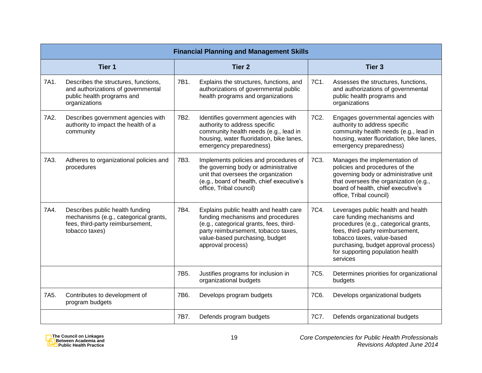|        | <b>Financial Planning and Management Skills</b>                                                                                |                 |                                                                                                                                                                                                                      |                   |                                                                                                                                                                                                                                                                      |  |  |  |
|--------|--------------------------------------------------------------------------------------------------------------------------------|-----------------|----------------------------------------------------------------------------------------------------------------------------------------------------------------------------------------------------------------------|-------------------|----------------------------------------------------------------------------------------------------------------------------------------------------------------------------------------------------------------------------------------------------------------------|--|--|--|
| Tier 1 |                                                                                                                                |                 | <b>Tier 2</b>                                                                                                                                                                                                        |                   | Tier <sub>3</sub>                                                                                                                                                                                                                                                    |  |  |  |
| 7A1.   | Describes the structures, functions,<br>and authorizations of governmental<br>public health programs and<br>organizations      | 7B1.            | Explains the structures, functions, and<br>authorizations of governmental public<br>health programs and organizations                                                                                                | 7C1.              | Assesses the structures, functions,<br>and authorizations of governmental<br>public health programs and<br>organizations                                                                                                                                             |  |  |  |
| 7A2.   | Describes government agencies with<br>authority to impact the health of a<br>community                                         | 7B2.            | Identifies government agencies with<br>authority to address specific<br>community health needs (e.g., lead in<br>housing, water fluoridation, bike lanes,<br>emergency preparedness)                                 | 7C <sub>2</sub>   | Engages governmental agencies with<br>authority to address specific<br>community health needs (e.g., lead in<br>housing, water fluoridation, bike lanes,<br>emergency preparedness)                                                                                  |  |  |  |
| 7A3.   | Adheres to organizational policies and<br>procedures                                                                           | 7B3.            | Implements policies and procedures of<br>the governing body or administrative<br>unit that oversees the organization<br>(e.g., board of health, chief executive's<br>office, Tribal council)                         | 7C3.              | Manages the implementation of<br>policies and procedures of the<br>governing body or administrative unit<br>that oversees the organization (e.g.,<br>board of health, chief executive's<br>office, Tribal council)                                                   |  |  |  |
| 7A4.   | Describes public health funding<br>mechanisms (e.g., categorical grants,<br>fees, third-party reimbursement,<br>tobacco taxes) | 7B4.            | Explains public health and health care<br>funding mechanisms and procedures<br>(e.g., categorical grants, fees, third-<br>party reimbursement, tobacco taxes,<br>value-based purchasing, budget<br>approval process) | 7C4.              | Leverages public health and health<br>care funding mechanisms and<br>procedures (e.g., categorical grants,<br>fees, third-party reimbursement,<br>tobacco taxes, value-based<br>purchasing, budget approval process)<br>for supporting population health<br>services |  |  |  |
|        |                                                                                                                                | 7B <sub>5</sub> | Justifies programs for inclusion in<br>organizational budgets                                                                                                                                                        | 7C <sub>5</sub> . | Determines priorities for organizational<br>budgets                                                                                                                                                                                                                  |  |  |  |
| 7A5.   | Contributes to development of<br>program budgets                                                                               | 7B6.            | Develops program budgets                                                                                                                                                                                             | 7C6.              | Develops organizational budgets                                                                                                                                                                                                                                      |  |  |  |
|        |                                                                                                                                | 7B7.            | Defends program budgets                                                                                                                                                                                              | 7C7.              | Defends organizational budgets                                                                                                                                                                                                                                       |  |  |  |

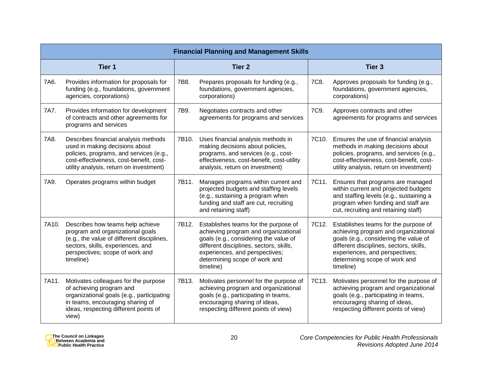|        | <b>Financial Planning and Management Skills</b>                                                                                                                                                         |       |                                                                                                                                                                                                                                                  |       |                                                                                                                                                                                                                                                  |  |  |
|--------|---------------------------------------------------------------------------------------------------------------------------------------------------------------------------------------------------------|-------|--------------------------------------------------------------------------------------------------------------------------------------------------------------------------------------------------------------------------------------------------|-------|--------------------------------------------------------------------------------------------------------------------------------------------------------------------------------------------------------------------------------------------------|--|--|
| Tier 1 |                                                                                                                                                                                                         |       | Tier <sub>2</sub>                                                                                                                                                                                                                                |       | <b>Tier 3</b>                                                                                                                                                                                                                                    |  |  |
| 7A6.   | Provides information for proposals for<br>funding (e.g., foundations, government<br>agencies, corporations)                                                                                             | 7B8.  | Prepares proposals for funding (e.g.,<br>foundations, government agencies,<br>corporations)                                                                                                                                                      | 7C8.  | Approves proposals for funding (e.g.,<br>foundations, government agencies,<br>corporations)                                                                                                                                                      |  |  |
| 7A7.   | Provides information for development<br>of contracts and other agreements for<br>programs and services                                                                                                  | 7B9.  | Negotiates contracts and other<br>agreements for programs and services                                                                                                                                                                           | 7C9.  | Approves contracts and other<br>agreements for programs and services                                                                                                                                                                             |  |  |
| 7A8.   | Describes financial analysis methods<br>used in making decisions about<br>policies, programs, and services (e.g.,<br>cost-effectiveness, cost-benefit, cost-<br>utility analysis, return on investment) | 7B10. | Uses financial analysis methods in<br>making decisions about policies,<br>programs, and services (e.g., cost-<br>effectiveness, cost-benefit, cost-utility<br>analysis, return on investment)                                                    | 7C10. | Ensures the use of financial analysis<br>methods in making decisions about<br>policies, programs, and services (e.g.,<br>cost-effectiveness, cost-benefit, cost-<br>utility analysis, return on investment)                                      |  |  |
| 7A9.   | Operates programs within budget                                                                                                                                                                         | 7B11. | Manages programs within current and<br>projected budgets and staffing levels<br>(e.g., sustaining a program when<br>funding and staff are cut, recruiting<br>and retaining staff)                                                                | 7C11. | Ensures that programs are managed<br>within current and projected budgets<br>and staffing levels (e.g., sustaining a<br>program when funding and staff are<br>cut, recruiting and retaining staff)                                               |  |  |
| 7A10.  | Describes how teams help achieve<br>program and organizational goals<br>(e.g., the value of different disciplines,<br>sectors, skills, experiences, and<br>perspectives; scope of work and<br>timeline) | 7B12. | Establishes teams for the purpose of<br>achieving program and organizational<br>goals (e.g., considering the value of<br>different disciplines, sectors, skills,<br>experiences, and perspectives;<br>determining scope of work and<br>timeline) | 7C12. | Establishes teams for the purpose of<br>achieving program and organizational<br>goals (e.g., considering the value of<br>different disciplines, sectors, skills,<br>experiences, and perspectives;<br>determining scope of work and<br>timeline) |  |  |
| 7A11.  | Motivates colleagues for the purpose<br>of achieving program and<br>organizational goals (e.g., participating<br>in teams, encouraging sharing of<br>ideas, respecting different points of<br>view)     | 7B13. | Motivates personnel for the purpose of<br>achieving program and organizational<br>goals (e.g., participating in teams,<br>encouraging sharing of ideas,<br>respecting different points of view)                                                  | 7C13. | Motivates personnel for the purpose of<br>achieving program and organizational<br>goals (e.g., participating in teams,<br>encouraging sharing of ideas,<br>respecting different points of view)                                                  |  |  |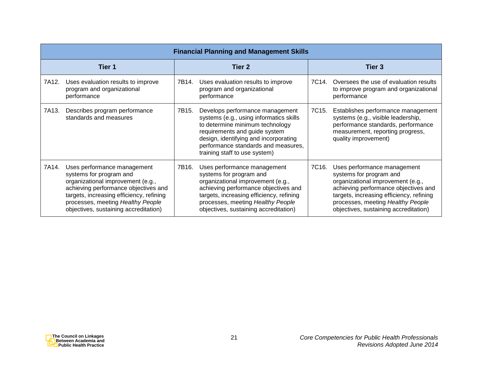|        | <b>Financial Planning and Management Skills</b>                                                                                                                                                                                                               |        |                                                                                                                                                                                                                                                                 |                    |                                                                                                                                                                                                                                                               |  |  |
|--------|---------------------------------------------------------------------------------------------------------------------------------------------------------------------------------------------------------------------------------------------------------------|--------|-----------------------------------------------------------------------------------------------------------------------------------------------------------------------------------------------------------------------------------------------------------------|--------------------|---------------------------------------------------------------------------------------------------------------------------------------------------------------------------------------------------------------------------------------------------------------|--|--|
| Tier 1 |                                                                                                                                                                                                                                                               | Tier 2 |                                                                                                                                                                                                                                                                 | Tier 3             |                                                                                                                                                                                                                                                               |  |  |
| 7A12.  | Uses evaluation results to improve<br>program and organizational<br>performance                                                                                                                                                                               | 7B14.  | Uses evaluation results to improve<br>program and organizational<br>performance                                                                                                                                                                                 | 7C14.              | Oversees the use of evaluation results<br>to improve program and organizational<br>performance                                                                                                                                                                |  |  |
| 7A13.  | Describes program performance<br>standards and measures                                                                                                                                                                                                       | 7B15.  | Develops performance management<br>systems (e.g., using informatics skills<br>to determine minimum technology<br>requirements and guide system<br>design, identifying and incorporating<br>performance standards and measures,<br>training staff to use system) | 7C15.              | Establishes performance management<br>systems (e.g., visible leadership,<br>performance standards, performance<br>measurement, reporting progress,<br>quality improvement)                                                                                    |  |  |
| 7A14.  | Uses performance management<br>systems for program and<br>organizational improvement (e.g.,<br>achieving performance objectives and<br>targets, increasing efficiency, refining<br>processes, meeting Healthy People<br>objectives, sustaining accreditation) | 7B16.  | Uses performance management<br>systems for program and<br>organizational improvement (e.g.,<br>achieving performance objectives and<br>targets, increasing efficiency, refining<br>processes, meeting Healthy People<br>objectives, sustaining accreditation)   | 7C <sub>16</sub> . | Uses performance management<br>systems for program and<br>organizational improvement (e.g.,<br>achieving performance objectives and<br>targets, increasing efficiency, refining<br>processes, meeting Healthy People<br>objectives, sustaining accreditation) |  |  |

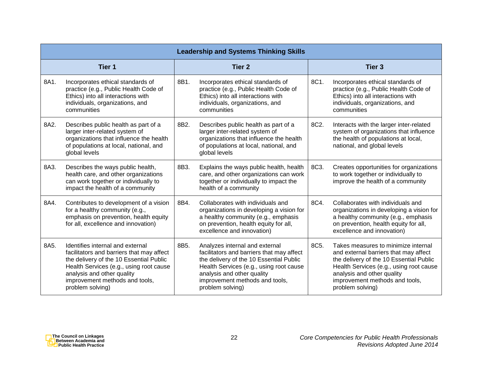|        | <b>Leadership and Systems Thinking Skills</b>                                                                                                                                                                                                           |      |                                                                                                                                                                                                                                                       |      |                                                                                                                                                                                                                                                        |  |  |  |
|--------|---------------------------------------------------------------------------------------------------------------------------------------------------------------------------------------------------------------------------------------------------------|------|-------------------------------------------------------------------------------------------------------------------------------------------------------------------------------------------------------------------------------------------------------|------|--------------------------------------------------------------------------------------------------------------------------------------------------------------------------------------------------------------------------------------------------------|--|--|--|
| Tier 1 |                                                                                                                                                                                                                                                         |      | <b>Tier 2</b>                                                                                                                                                                                                                                         |      | Tier <sub>3</sub>                                                                                                                                                                                                                                      |  |  |  |
| 8A1.   | Incorporates ethical standards of<br>practice (e.g., Public Health Code of<br>Ethics) into all interactions with<br>individuals, organizations, and<br>communities                                                                                      | 8B1. | Incorporates ethical standards of<br>practice (e.g., Public Health Code of<br>Ethics) into all interactions with<br>individuals, organizations, and<br>communities                                                                                    | 8C1. | Incorporates ethical standards of<br>practice (e.g., Public Health Code of<br>Ethics) into all interactions with<br>individuals, organizations, and<br>communities                                                                                     |  |  |  |
| 8A2.   | Describes public health as part of a<br>larger inter-related system of<br>organizations that influence the health<br>of populations at local, national, and<br>global levels                                                                            | 8B2. | Describes public health as part of a<br>larger inter-related system of<br>organizations that influence the health<br>of populations at local, national, and<br>global levels                                                                          | 8C2. | Interacts with the larger inter-related<br>system of organizations that influence<br>the health of populations at local,<br>national, and global levels                                                                                                |  |  |  |
| 8A3.   | Describes the ways public health,<br>health care, and other organizations<br>can work together or individually to<br>impact the health of a community                                                                                                   | 8B3. | Explains the ways public health, health<br>care, and other organizations can work<br>together or individually to impact the<br>health of a community                                                                                                  | 8C3. | Creates opportunities for organizations<br>to work together or individually to<br>improve the health of a community                                                                                                                                    |  |  |  |
| 8A4.   | Contributes to development of a vision<br>for a healthy community (e.g.,<br>emphasis on prevention, health equity<br>for all, excellence and innovation)                                                                                                | 8B4. | Collaborates with individuals and<br>organizations in developing a vision for<br>a healthy community (e.g., emphasis<br>on prevention, health equity for all,<br>excellence and innovation)                                                           | 8C4. | Collaborates with individuals and<br>organizations in developing a vision for<br>a healthy community (e.g., emphasis<br>on prevention, health equity for all,<br>excellence and innovation)                                                            |  |  |  |
| 8A5.   | Identifies internal and external<br>facilitators and barriers that may affect<br>the delivery of the 10 Essential Public<br>Health Services (e.g., using root cause<br>analysis and other quality<br>improvement methods and tools,<br>problem solving) | 8B5. | Analyzes internal and external<br>facilitators and barriers that may affect<br>the delivery of the 10 Essential Public<br>Health Services (e.g., using root cause<br>analysis and other quality<br>improvement methods and tools,<br>problem solving) | 8C5. | Takes measures to minimize internal<br>and external barriers that may affect<br>the delivery of the 10 Essential Public<br>Health Services (e.g., using root cause<br>analysis and other quality<br>improvement methods and tools,<br>problem solving) |  |  |  |

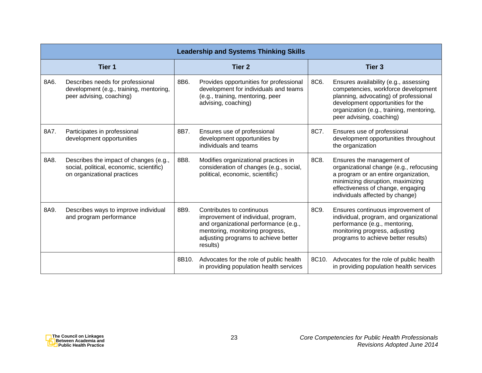|                   | <b>Leadership and Systems Thinking Skills</b>                                                                     |       |                                                                                                                                                                                                  |       |                                                                                                                                                                                                                                    |  |  |
|-------------------|-------------------------------------------------------------------------------------------------------------------|-------|--------------------------------------------------------------------------------------------------------------------------------------------------------------------------------------------------|-------|------------------------------------------------------------------------------------------------------------------------------------------------------------------------------------------------------------------------------------|--|--|
| Tier <sub>1</sub> |                                                                                                                   |       | <b>Tier 2</b>                                                                                                                                                                                    |       | <b>Tier 3</b>                                                                                                                                                                                                                      |  |  |
| 8A6.              | Describes needs for professional<br>development (e.g., training, mentoring,<br>peer advising, coaching)           | 8B6.  | Provides opportunities for professional<br>development for individuals and teams<br>(e.g., training, mentoring, peer<br>advising, coaching)                                                      | 8C6.  | Ensures availability (e.g., assessing<br>competencies, workforce development<br>planning, advocating) of professional<br>development opportunities for the<br>organization (e.g., training, mentoring,<br>peer advising, coaching) |  |  |
| 8A7.              | Participates in professional<br>development opportunities                                                         | 8B7.  | Ensures use of professional<br>development opportunities by<br>individuals and teams                                                                                                             | 8C7.  | Ensures use of professional<br>development opportunities throughout<br>the organization                                                                                                                                            |  |  |
| 8A8.              | Describes the impact of changes (e.g.,<br>social, political, economic, scientific)<br>on organizational practices | 8B8.  | Modifies organizational practices in<br>consideration of changes (e.g., social,<br>political, economic, scientific)                                                                              | 8C8.  | Ensures the management of<br>organizational change (e.g., refocusing<br>a program or an entire organization,<br>minimizing disruption, maximizing<br>effectiveness of change, engaging<br>individuals affected by change)          |  |  |
| 8A9.              | Describes ways to improve individual<br>and program performance                                                   | 8B9.  | Contributes to continuous<br>improvement of individual, program,<br>and organizational performance (e.g.,<br>mentoring, monitoring progress,<br>adjusting programs to achieve better<br>results) | 8C9.  | Ensures continuous improvement of<br>individual, program, and organizational<br>performance (e.g., mentoring,<br>monitoring progress, adjusting<br>programs to achieve better results)                                             |  |  |
|                   |                                                                                                                   | 8B10. | Advocates for the role of public health<br>in providing population health services                                                                                                               | 8C10. | Advocates for the role of public health<br>in providing population health services                                                                                                                                                 |  |  |